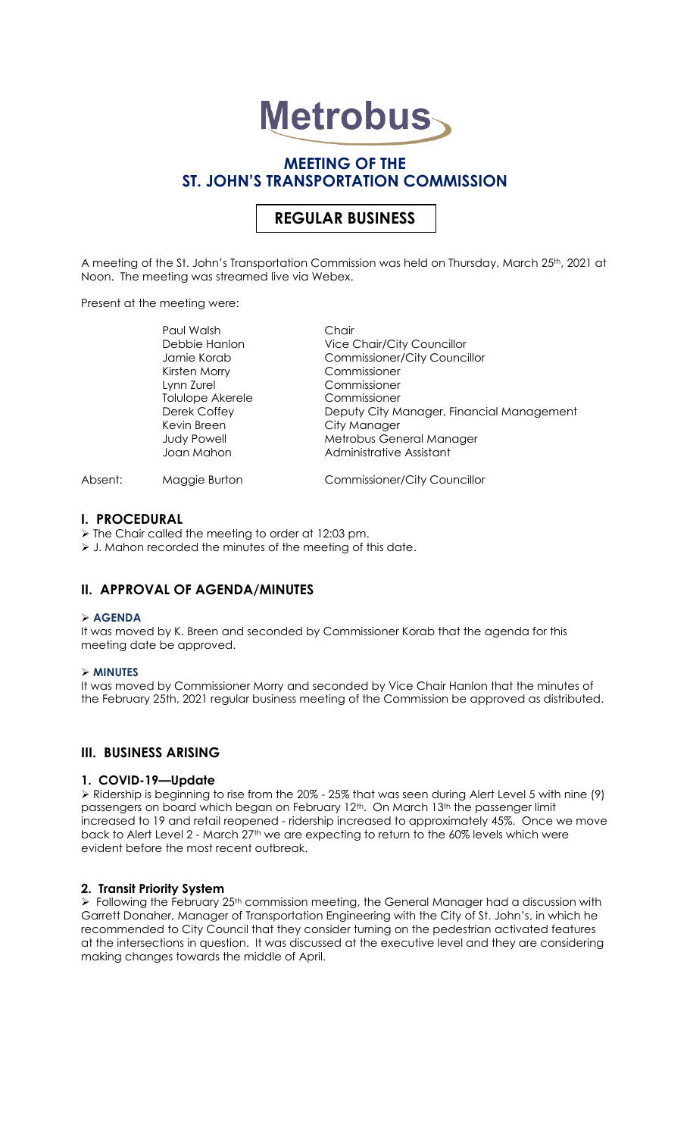# **Metrobus**

## **MEETING OF THE ST. JOHN'S TRANSPORTATION COMMISSION**

# **REGULAR BUSINESS**

A meeting of the St. John's Transportation Commission was held on Thursday, March 25th, 2021 at Noon. The meeting was streamed live via Webex.

Present at the meeting were:

|         | Paul Walsh         | Chair                                     |
|---------|--------------------|-------------------------------------------|
|         | Debbie Hanlon      | <b>Vice Chair/City Councillor</b>         |
|         | Jamie Korab        | <b>Commissioner/City Councillor</b>       |
|         | Kirsten Morry      | Commissioner                              |
|         | Lynn Zurel         | Commissioner                              |
|         | Tolulope Akerele   | Commissioner                              |
|         | Derek Coffey       | Deputy City Manager, Financial Management |
|         | Kevin Breen        | City Manager                              |
|         | <b>Judy Powell</b> | Metrobus General Manager                  |
|         | Joan Mahon         | Administrative Assistant                  |
| Absent: | Maggie Burton      | <b>Commissioner/City Councillor</b>       |

## **I. PROCEDURAL**

➢ The Chair called the meeting to order at 12:03 pm.

➢ J. Mahon recorded the minutes of the meeting of this date.

## **II. APPROVAL OF AGENDA/MINUTES**

#### ➢ **AGENDA**

It was moved by K. Breen and seconded by Commissioner Korab that the agenda for this meeting date be approved.

#### ➢ **MINUTES**

It was moved by Commissioner Morry and seconded by Vice Chair Hanlon that the minutes of the February 25th, 2021 regular business meeting of the Commission be approved as distributed.

## **III. BUSINESS ARISING**

#### **1. COVID-19—Update**

➢ Ridership is beginning to rise from the 20% - 25% that was seen during Alert Level 5 with nine (9) passengers on board which began on February 12<sup>th</sup>. On March 13<sup>th</sup> the passenger limit increased to 19 and retail reopened - ridership increased to approximately 45%. Once we move back to Alert Level 2 - March 27<sup>th</sup> we are expecting to return to the 60% levels which were evident before the most recent outbreak.

## **2. Transit Priority System**

 $\triangleright$  Following the February 25<sup>th</sup> commission meeting, the General Manager had a discussion with Garrett Donaher, Manager of Transportation Engineering with the City of St. John's, in which he recommended to City Council that they consider turning on the pedestrian activated features at the intersections in question. It was discussed at the executive level and they are considering making changes towards the middle of April.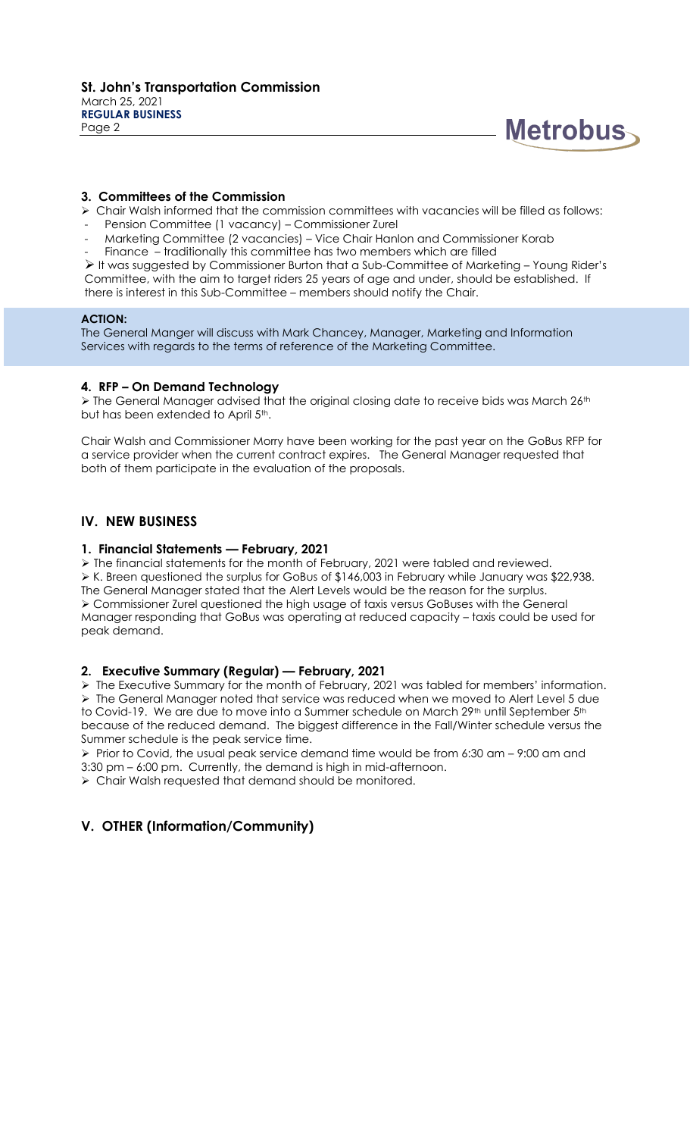

### **3. Committees of the Commission**

➢ Chair Walsh informed that the commission committees with vacancies will be filled as follows:

- Pension Committee (1 vacancy) Commissioner Zurel
- Marketing Committee (2 vacancies) Vice Chair Hanlon and Commissioner Korab
- Finance traditionally this committee has two members which are filled

➢ It was suggested by Commissioner Burton that a Sub-Committee of Marketing – Young Rider's Committee, with the aim to target riders 25 years of age and under, should be established. If there is interest in this Sub-Committee – members should notify the Chair.

#### **ACTION:**

The General Manger will discuss with Mark Chancey, Manager, Marketing and Information Services with regards to the terms of reference of the Marketing Committee.

### **4. RFP – On Demand Technology**

 $\triangleright$  The General Manager advised that the original closing date to receive bids was March 26<sup>th</sup> but has been extended to April 5<sup>th</sup>.

Chair Walsh and Commissioner Morry have been working for the past year on the GoBus RFP for a service provider when the current contract expires. The General Manager requested that both of them participate in the evaluation of the proposals.

## **IV. NEW BUSINESS**

#### **1. Financial Statements — February, 2021**

➢ The financial statements for the month of February, 2021 were tabled and reviewed. ➢ K. Breen questioned the surplus for GoBus of \$146,003 in February while January was \$22,938. The General Manager stated that the Alert Levels would be the reason for the surplus. ➢ Commissioner Zurel questioned the high usage of taxis versus GoBuses with the General Manager responding that GoBus was operating at reduced capacity – taxis could be used for peak demand.

#### **2. Executive Summary (Regular) — February, 2021**

➢ The Executive Summary for the month of February, 2021 was tabled for members' information. ➢ The General Manager noted that service was reduced when we moved to Alert Level 5 due to Covid-19. We are due to move into a Summer schedule on March 29<sup>th</sup> until September 5<sup>th</sup> because of the reduced demand. The biggest difference in the Fall/Winter schedule versus the Summer schedule is the peak service time.

 $\triangleright$  Prior to Covid, the usual peak service demand time would be from 6:30 am – 9:00 am and 3:30 pm – 6:00 pm. Currently, the demand is high in mid-afternoon.

➢ Chair Walsh requested that demand should be monitored.

## **V. OTHER (Information/Community)**